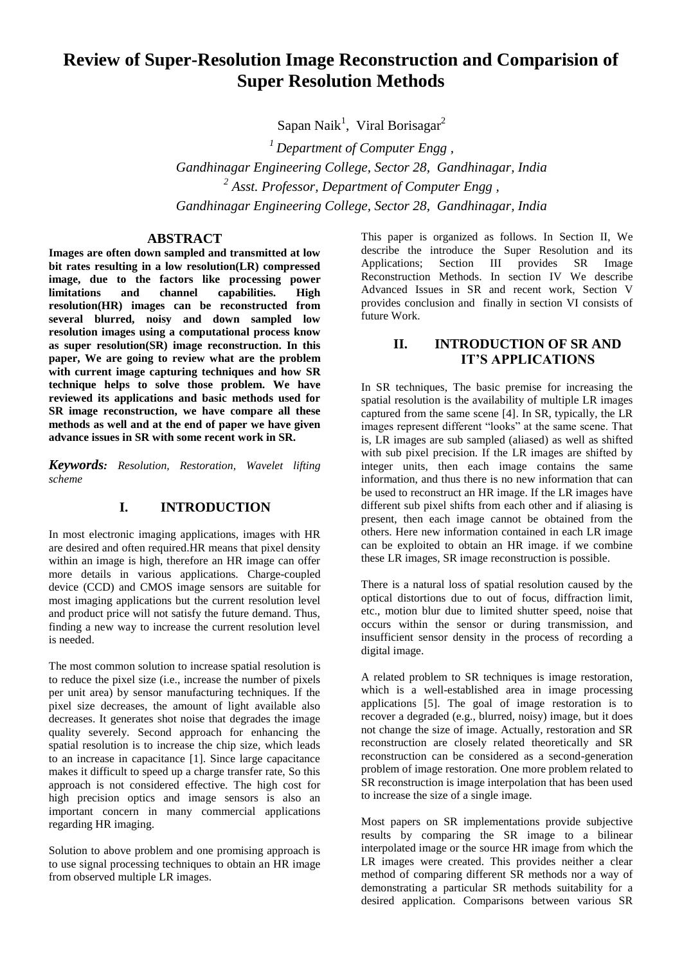# **Review of Super-Resolution Image Reconstruction and Comparision of Super Resolution Methods**

Sapan Naik<sup>1</sup>, Viral Borisagar<sup>2</sup>

*<sup>1</sup>Department of Computer Engg , Gandhinagar Engineering College, Sector 28, Gandhinagar, India 2 Asst. Professor, Department of Computer Engg , Gandhinagar Engineering College, Sector 28, Gandhinagar, India*

### **ABSTRACT**

**Images are often down sampled and transmitted at low bit rates resulting in a low resolution(LR) compressed image, due to the factors like processing power limitations and channel capabilities. High resolution(HR) images can be reconstructed from several blurred, noisy and down sampled low resolution images using a computational process know as super resolution(SR) image reconstruction. In this paper, We are going to review what are the problem with current image capturing techniques and how SR technique helps to solve those problem. We have reviewed its applications and basic methods used for SR image reconstruction, we have compare all these methods as well and at the end of paper we have given advance issues in SR with some recent work in SR.**

*Keywords: Resolution, Restoration, Wavelet lifting scheme*

## **I. INTRODUCTION**

In most electronic imaging applications, images with HR are desired and often required.HR means that pixel density within an image is high, therefore an HR image can offer more details in various applications. Charge-coupled device (CCD) and CMOS image sensors are suitable for most imaging applications but the current resolution level and product price will not satisfy the future demand. Thus, finding a new way to increase the current resolution level is needed.

The most common solution to increase spatial resolution is to reduce the pixel size (i.e., increase the number of pixels per unit area) by sensor manufacturing techniques. If the pixel size decreases, the amount of light available also decreases. It generates shot noise that degrades the image quality severely. Second approach for enhancing the spatial resolution is to increase the chip size, which leads to an increase in capacitance [1]. Since large capacitance makes it difficult to speed up a charge transfer rate, So this approach is not considered effective. The high cost for high precision optics and image sensors is also an important concern in many commercial applications regarding HR imaging.

Solution to above problem and one promising approach is to use signal processing techniques to obtain an HR image from observed multiple LR images.

This paper is organized as follows. In Section II, We describe the introduce the Super Resolution and its Applications; Section III provides SR Image Reconstruction Methods. In section IV We describe Advanced Issues in SR and recent work, Section V provides conclusion and finally in section VI consists of future Work.

# **II. INTRODUCTION OF SR AND IT'S APPLICATIONS**

In SR techniques, The basic premise for increasing the spatial resolution is the availability of multiple LR images captured from the same scene [4]. In SR, typically, the LR images represent different "looks" at the same scene. That is, LR images are sub sampled (aliased) as well as shifted with sub pixel precision. If the LR images are shifted by integer units, then each image contains the same information, and thus there is no new information that can be used to reconstruct an HR image. If the LR images have different sub pixel shifts from each other and if aliasing is present, then each image cannot be obtained from the others. Here new information contained in each LR image can be exploited to obtain an HR image. if we combine these LR images, SR image reconstruction is possible.

There is a natural loss of spatial resolution caused by the optical distortions due to out of focus, diffraction limit, etc., motion blur due to limited shutter speed, noise that occurs within the sensor or during transmission, and insufficient sensor density in the process of recording a digital image.

A related problem to SR techniques is image restoration, which is a well-established area in image processing applications [5]. The goal of image restoration is to recover a degraded (e.g., blurred, noisy) image, but it does not change the size of image. Actually, restoration and SR reconstruction are closely related theoretically and SR reconstruction can be considered as a second-generation problem of image restoration. One more problem related to SR reconstruction is image interpolation that has been used to increase the size of a single image.

Most papers on SR implementations provide subjective results by comparing the SR image to a bilinear interpolated image or the source HR image from which the LR images were created. This provides neither a clear method of comparing different SR methods nor a way of demonstrating a particular SR methods suitability for a desired application. Comparisons between various SR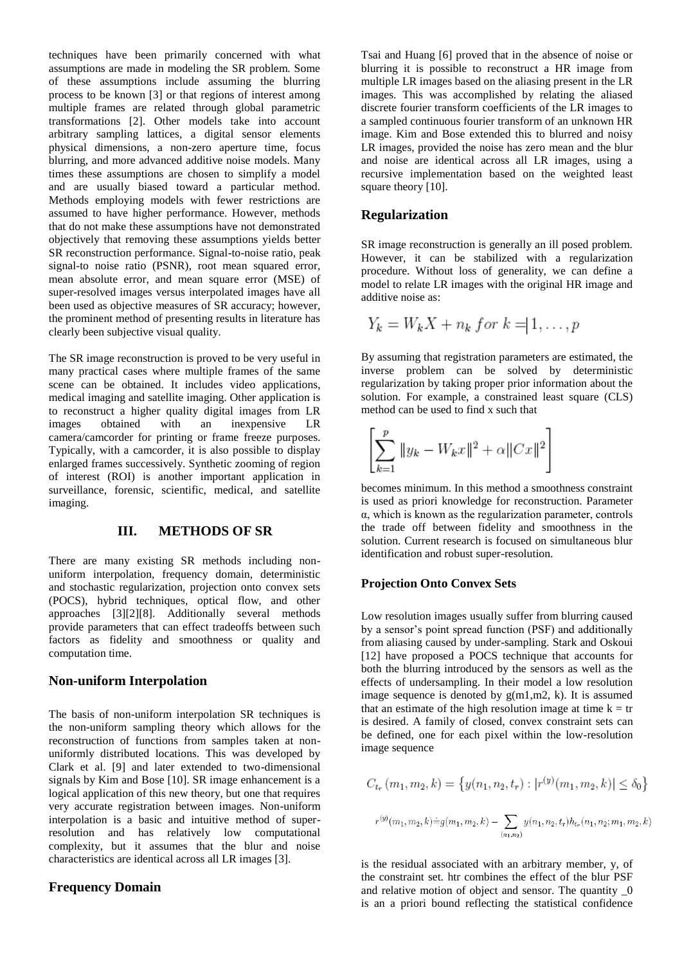techniques have been primarily concerned with what assumptions are made in modeling the SR problem. Some of these assumptions include assuming the blurring process to be known [3] or that regions of interest among multiple frames are related through global parametric transformations [2]. Other models take into account arbitrary sampling lattices, a digital sensor elements physical dimensions, a non-zero aperture time, focus blurring, and more advanced additive noise models. Many times these assumptions are chosen to simplify a model and are usually biased toward a particular method. Methods employing models with fewer restrictions are assumed to have higher performance. However, methods that do not make these assumptions have not demonstrated objectively that removing these assumptions yields better SR reconstruction performance. Signal-to-noise ratio, peak signal-to noise ratio (PSNR), root mean squared error, mean absolute error, and mean square error (MSE) of super-resolved images versus interpolated images have all been used as objective measures of SR accuracy; however, the prominent method of presenting results in literature has clearly been subjective visual quality.

The SR image reconstruction is proved to be very useful in many practical cases where multiple frames of the same scene can be obtained. It includes video applications, medical imaging and satellite imaging. Other application is to reconstruct a higher quality digital images from LR images obtained with an inexpensive LR camera/camcorder for printing or frame freeze purposes. Typically, with a camcorder, it is also possible to display enlarged frames successively. Synthetic zooming of region of interest (ROI) is another important application in surveillance, forensic, scientific, medical, and satellite imaging.

### **III. METHODS OF SR**

There are many existing SR methods including nonuniform interpolation, frequency domain, deterministic and stochastic regularization, projection onto convex sets (POCS), hybrid techniques, optical flow, and other approaches [3][2][8]. Additionally several methods provide parameters that can effect tradeoffs between such factors as fidelity and smoothness or quality and computation time.

### **Non-uniform Interpolation**

The basis of non-uniform interpolation SR techniques is the non-uniform sampling theory which allows for the reconstruction of functions from samples taken at nonuniformly distributed locations. This was developed by Clark et al. [9] and later extended to two-dimensional signals by Kim and Bose [10]. SR image enhancement is a logical application of this new theory, but one that requires very accurate registration between images. Non-uniform interpolation is a basic and intuitive method of superresolution and has relatively low computational complexity, but it assumes that the blur and noise characteristics are identical across all LR images [3].

### **Frequency Domain**

Tsai and Huang [6] proved that in the absence of noise or blurring it is possible to reconstruct a HR image from multiple LR images based on the aliasing present in the LR images. This was accomplished by relating the aliased discrete fourier transform coefficients of the LR images to a sampled continuous fourier transform of an unknown HR image. Kim and Bose extended this to blurred and noisy LR images, provided the noise has zero mean and the blur and noise are identical across all LR images, using a recursive implementation based on the weighted least square theory [10].

#### **Regularization**

SR image reconstruction is generally an ill posed problem. However, it can be stabilized with a regularization procedure. Without loss of generality, we can define a model to relate LR images with the original HR image and additive noise as:

$$
Y_k = W_k X + n_k \text{ for } k = 1, \dots, p
$$

By assuming that registration parameters are estimated, the inverse problem can be solved by deterministic regularization by taking proper prior information about the solution. For example, a constrained least square (CLS) method can be used to find x such that

$$
\left[\sum_{k=1}^{p} \|y_k - W_k x\|^2 + \alpha \|Cx\|^2\right]
$$

becomes minimum. In this method a smoothness constraint is used as priori knowledge for reconstruction. Parameter α, which is known as the regularization parameter, controls the trade off between fidelity and smoothness in the solution. Current research is focused on simultaneous blur identification and robust super-resolution.

#### **Projection Onto Convex Sets**

Low resolution images usually suffer from blurring caused by a sensor's point spread function (PSF) and additionally from aliasing caused by under-sampling. Stark and Oskoui [12] have proposed a POCS technique that accounts for both the blurring introduced by the sensors as well as the effects of undersampling. In their model a low resolution image sequence is denoted by  $g(m1,m2, k)$ . It is assumed that an estimate of the high resolution image at time  $k = tr$ is desired. A family of closed, convex constraint sets can be defined, one for each pixel within the low-resolution image sequence

$$
C_{t_r}(m_1, m_2, k) = \{y(n_1, n_2, t_r) : |r^{(y)}(m_1, m_2, k)| \le \delta_0\}
$$
  

$$
r^{(y)}(m_1, m_2, k) = g(m_1, m_2, k) - \sum_{(n_1, n_2)} y(n_1, n_2, t_r) h_{t_r}(n_1, n_2; m_1, m_2, k)
$$

is the residual associated with an arbitrary member, y, of the constraint set. htr combines the effect of the blur PSF and relative motion of object and sensor. The quantity \_0 is an a priori bound reflecting the statistical confidence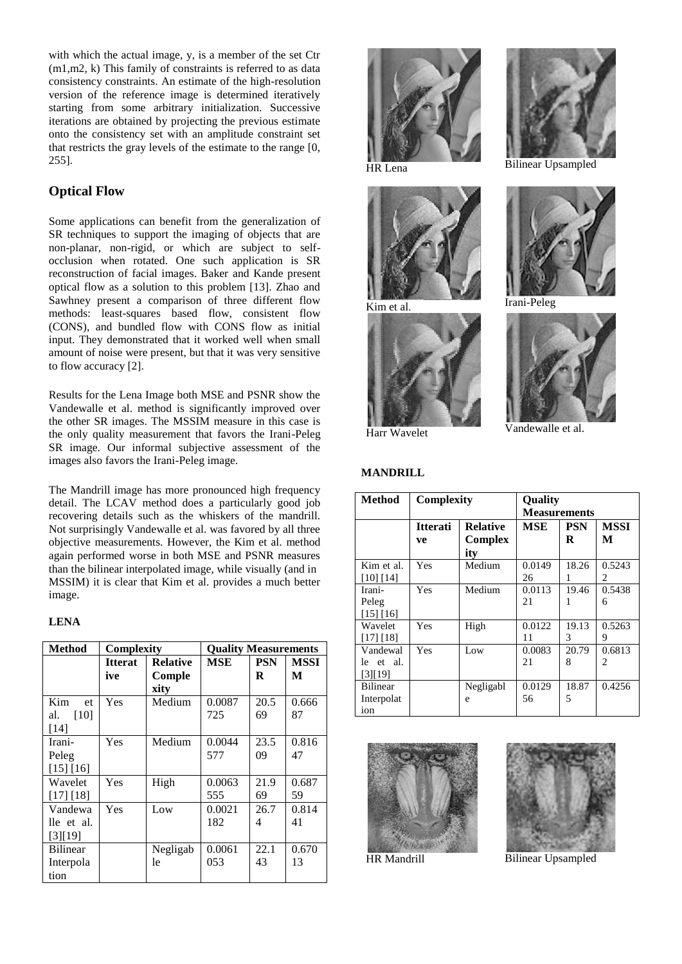with which the actual image, y, is a member of the set Ctr (m1,m2, k) This family of constraints is referred to as data consistency constraints. An estimate of the high-resolution version of the reference image is determined iteratively starting from some arbitrary initialization. Successive iterations are obtained by projecting the previous estimate onto the consistency set with an amplitude constraint set that restricts the gray levels of the estimate to the range [0, 255].

# **Optical Flow**

Some applications can benefit from the generalization of SR techniques to support the imaging of objects that are non-planar, non-rigid, or which are subject to selfocclusion when rotated. One such application is SR reconstruction of facial images. Baker and Kande present optical flow as a solution to this problem [13]. Zhao and Sawhney present a comparison of three different flow methods: least-squares based flow, consistent flow (CONS), and bundled flow with CONS flow as initial input. They demonstrated that it worked well when small amount of noise were present, but that it was very sensitive to flow accuracy [2].

Results for the Lena Image both MSE and PSNR show the Vandewalle et al. method is significantly improved over the other SR images. The MSSIM measure in this case is the only quality measurement that favors the Irani-Peleg SR image. Our informal subjective assessment of the images also favors the Irani-Peleg image.

The Mandrill image has more pronounced high frequency detail. The LCAV method does a particularly good job recovering details such as the whiskers of the mandrill. Not surprisingly Vandewalle et al. was favored by all three objective measurements. However, the Kim et al. method again performed worse in both MSE and PSNR measures than the bilinear interpolated image, while visually (and in MSSIM) it is clear that Kim et al. provides a much better image.

### **LENA**

| Method          | <b>Complexity</b> |                 | <b>Ouality Measurements</b> |            |             |
|-----------------|-------------------|-----------------|-----------------------------|------------|-------------|
|                 | <b>Itterat</b>    | <b>Relative</b> | MSE                         | <b>PSN</b> | <b>MSSI</b> |
|                 | ive               | Comple          |                             | R          | M           |
|                 |                   | xity            |                             |            |             |
| Kim<br>et       | Yes               | Medium          | 0.0087                      | 20.5       | 0.666       |
| al.<br>[10]     |                   |                 | 725                         | 69         | 87          |
| $[14]$          |                   |                 |                             |            |             |
| Irani-          | Yes               | Medium          | 0.0044                      | 23.5       | 0.816       |
| Peleg           |                   |                 | 577                         | 09         | 47          |
| [15] [16]       |                   |                 |                             |            |             |
| Wavelet         | Yes               | High            | 0.0063                      | 21.9       | 0.687       |
| [17] [18]       |                   |                 | 555                         | 69         | 59          |
| Vandewa         | Yes               | Low             | 0.0021                      | 26.7       | 0.814       |
| lle et al.      |                   |                 | 182                         | 4          | 41          |
| [3][19]         |                   |                 |                             |            |             |
| <b>Bilinear</b> |                   | Negligab        | 0.0061                      | 22.1       | 0.670       |
| Interpola       |                   | 1e              | 053                         | 43         | 13          |
| tion            |                   |                 |                             |            |             |









HR Lena Bilinear Upsampled



Kim et al. **Irani-Peleg** 



Harr Wavelet Vandewalle et al.

#### **MANDRILL**

| <b>Method</b>                        | <b>Complexity</b>     |                                   | <b>Ouality</b><br><b>Measurements</b> |                 |                  |
|--------------------------------------|-----------------------|-----------------------------------|---------------------------------------|-----------------|------------------|
|                                      | <b>Itterati</b><br>ve | <b>Relative</b><br>Complex<br>ity | MSE                                   | <b>PSN</b><br>R | <b>MSSI</b><br>М |
| Kim et al.<br>$[10]$ $[14]$          | Yes                   | Medium                            | 0.0149<br>26                          | 18.26<br>1      | 0.5243<br>2      |
| Irani-<br>Peleg<br>[15] [16]         | Yes                   | Medium                            | 0.0113<br>21                          | 19.46           | 0.5438<br>6      |
| Wavelet<br>$[17]$ $[18]$             | Yes                   | High                              | 0.0122<br>11                          | 19.13<br>3      | 0.5263<br>9      |
| Vandewal<br>le et al.<br>[3][19]     | Yes                   | Low                               | 0.0083<br>21                          | 20.79<br>8      | 0.6813<br>2      |
| <b>Bilinear</b><br>Interpolat<br>ion |                       | Negligabl<br>e                    | 0.0129<br>56                          | 18.87<br>5      | 0.4256           |





HR Mandrill Bilinear Upsampled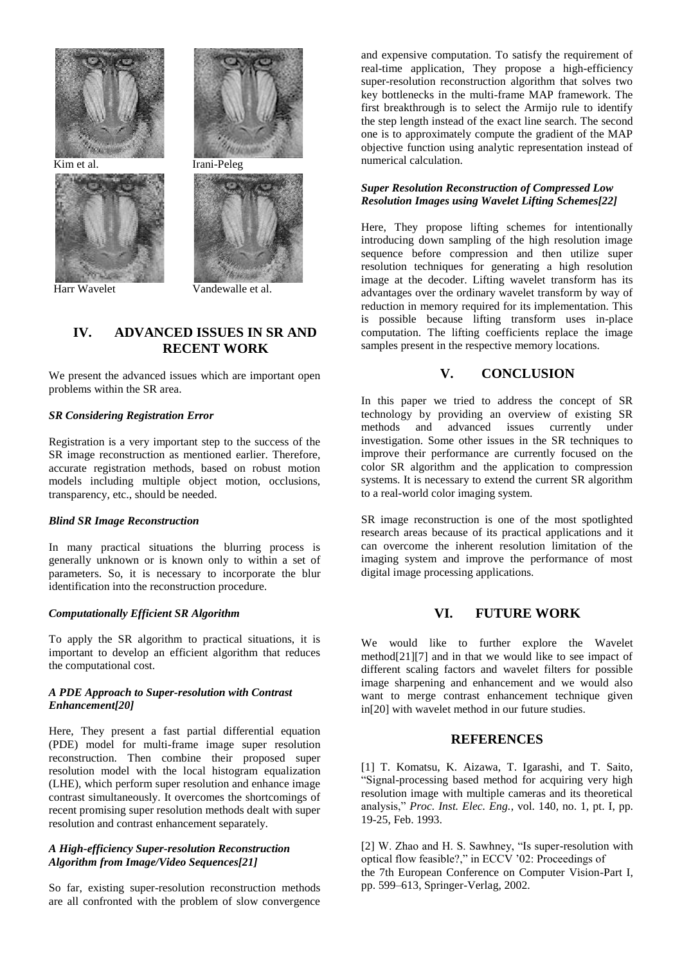







Harr Wavelet Vandewalle et al.

# **IV. ADVANCED ISSUES IN SR AND RECENT WORK**

We present the advanced issues which are important open problems within the SR area.

#### *SR Considering Registration Error*

Registration is a very important step to the success of the SR image reconstruction as mentioned earlier. Therefore, accurate registration methods, based on robust motion models including multiple object motion, occlusions, transparency, etc., should be needed.

### *Blind SR Image Reconstruction*

In many practical situations the blurring process is generally unknown or is known only to within a set of parameters. So, it is necessary to incorporate the blur identification into the reconstruction procedure.

### *Computationally Efficient SR Algorithm*

To apply the SR algorithm to practical situations, it is important to develop an efficient algorithm that reduces the computational cost.

#### *A PDE Approach to Super-resolution with Contrast Enhancement[20]*

Here, They present a fast partial differential equation (PDE) model for multi-frame image super resolution reconstruction. Then combine their proposed super resolution model with the local histogram equalization (LHE), which perform super resolution and enhance image contrast simultaneously. It overcomes the shortcomings of recent promising super resolution methods dealt with super resolution and contrast enhancement separately.

#### *A High-efficiency Super-resolution Reconstruction Algorithm from Image/Video Sequences[21]*

So far, existing super-resolution reconstruction methods are all confronted with the problem of slow convergence and expensive computation. To satisfy the requirement of real-time application, They propose a high-efficiency super-resolution reconstruction algorithm that solves two key bottlenecks in the multi-frame MAP framework. The first breakthrough is to select the Armijo rule to identify the step length instead of the exact line search. The second one is to approximately compute the gradient of the MAP objective function using analytic representation instead of numerical calculation.

### *Super Resolution Reconstruction of Compressed Low Resolution Images using Wavelet Lifting Schemes[22]*

Here, They propose lifting schemes for intentionally introducing down sampling of the high resolution image sequence before compression and then utilize super resolution techniques for generating a high resolution image at the decoder. Lifting wavelet transform has its advantages over the ordinary wavelet transform by way of reduction in memory required for its implementation. This is possible because lifting transform uses in-place computation. The lifting coefficients replace the image samples present in the respective memory locations.

# **V. CONCLUSION**

In this paper we tried to address the concept of SR technology by providing an overview of existing SR methods and advanced issues currently under investigation. Some other issues in the SR techniques to improve their performance are currently focused on the color SR algorithm and the application to compression systems. It is necessary to extend the current SR algorithm to a real-world color imaging system.

SR image reconstruction is one of the most spotlighted research areas because of its practical applications and it can overcome the inherent resolution limitation of the imaging system and improve the performance of most digital image processing applications.

## **VI. FUTURE WORK**

We would like to further explore the Wavelet method[21][7] and in that we would like to see impact of different scaling factors and wavelet filters for possible image sharpening and enhancement and we would also want to merge contrast enhancement technique given in[20] with wavelet method in our future studies.

### **REFERENCES**

[1] T. Komatsu, K. Aizawa, T. Igarashi, and T. Saito, "Signal-processing based method for acquiring very high resolution image with multiple cameras and its theoretical analysis," *Proc. Inst. Elec. Eng.*, vol. 140, no. 1, pt. I, pp. 19-25, Feb. 1993.

[2] W. Zhao and H. S. Sawhney, "Is super-resolution with optical flow feasible?," in ECCV '02: Proceedings of the 7th European Conference on Computer Vision-Part I, pp. 599–613, Springer-Verlag, 2002.